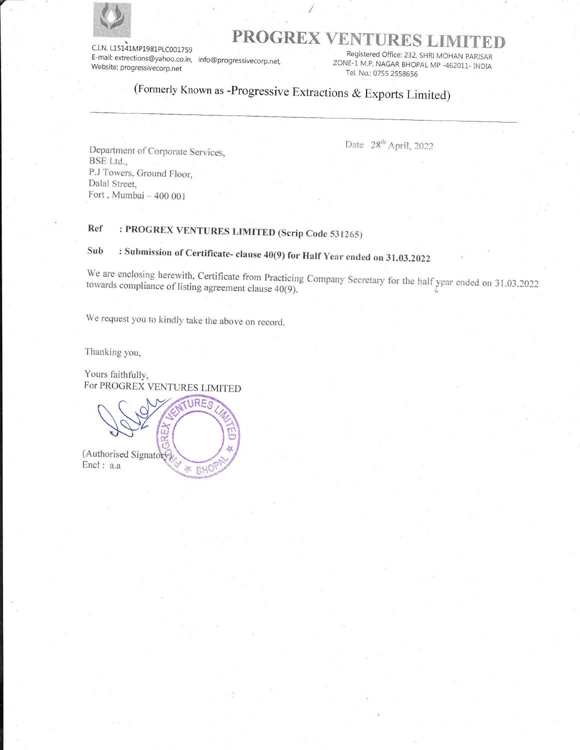

# ENTY ENTERTY ENTYIRES LIMITED

E-mail: extrections@yahoo.co.in, info@progressivecorp.net,<br>E-mail: extrections@yahoo.co.in, info@progressivecorp.net,<br>Website: progressivecorp.net Tel. No.: 0755 2558656666666675 2558656666679.html

# (Formerly Known as -Progressive Extractions & Exports Limited)

I

Department of Corporate Services, BSE Lid., P.J Towers, Ground Floor, Dalal Street, Fort , Mumbai ~ 400 001

Date  $28^{th}$  April, 2022

## Ref — : PROGREX VENTURES LIMITED (Serip Code 531265)

# Sub : Submission of Certificate- clause 40(9) for Half Year ended on 31.03.2022

towards We are enclosing enclosing herewith, Certificate from Practicing Company Secretary for the half year ended on 31.03.2022<br>compliance of listing agreement clause 40(9).

We request you to kindly take the above on record.

Thanking you,

Yours faithfully, For PROGREX VENTURES LIMITED

 $RE$ "Gey Ū. (Authorised Signatory) Encl: a.a BHC